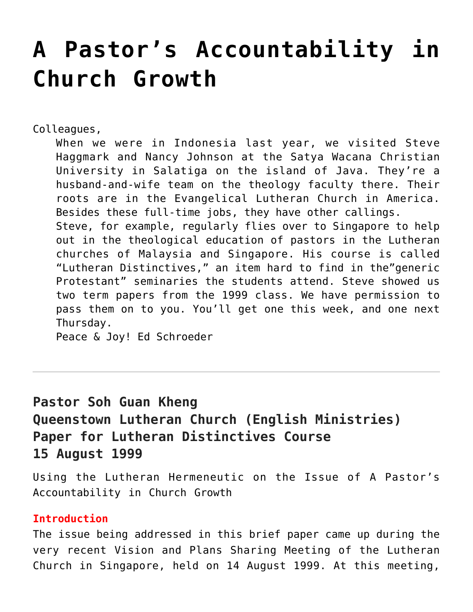# **[A Pastor's Accountability in](https://crossings.org/a-pastors-accountability-in-church-growth/) [Church Growth](https://crossings.org/a-pastors-accountability-in-church-growth/)**

Colleagues,

When we were in Indonesia last year, we visited Steve Haggmark and Nancy Johnson at the Satya Wacana Christian University in Salatiga on the island of Java. They're a husband-and-wife team on the theology faculty there. Their roots are in the Evangelical Lutheran Church in America. Besides these full-time jobs, they have other callings. Steve, for example, regularly flies over to Singapore to help out in the theological education of pastors in the Lutheran churches of Malaysia and Singapore. His course is called "Lutheran Distinctives," an item hard to find in the"generic Protestant" seminaries the students attend. Steve showed us two term papers from the 1999 class. We have permission to pass them on to you. You'll get one this week, and one next

Thursday.

Peace & Joy! Ed Schroeder

# **Pastor Soh Guan Kheng Queenstown Lutheran Church (English Ministries) Paper for Lutheran Distinctives Course 15 August 1999**

Using the Lutheran Hermeneutic on the Issue of A Pastor's Accountability in Church Growth

## **Introduction**

The issue being addressed in this brief paper came up during the very recent Vision and Plans Sharing Meeting of the Lutheran Church in Singapore, held on 14 August 1999. At this meeting,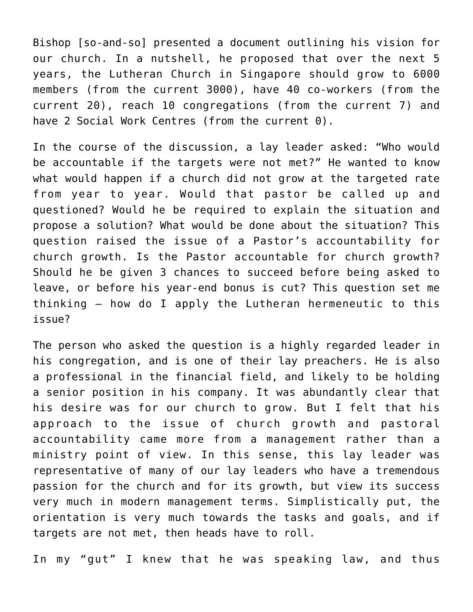Bishop [so-and-so] presented a document outlining his vision for our church. In a nutshell, he proposed that over the next 5 years, the Lutheran Church in Singapore should grow to 6000 members (from the current 3000), have 40 co-workers (from the current 20), reach 10 congregations (from the current 7) and have 2 Social Work Centres (from the current 0).

In the course of the discussion, a lay leader asked: "Who would be accountable if the targets were not met?" He wanted to know what would happen if a church did not grow at the targeted rate from year to year. Would that pastor be called up and questioned? Would he be required to explain the situation and propose a solution? What would be done about the situation? This question raised the issue of a Pastor's accountability for church growth. Is the Pastor accountable for church growth? Should he be given 3 chances to succeed before being asked to leave, or before his year-end bonus is cut? This question set me thinking – how do I apply the Lutheran hermeneutic to this issue?

The person who asked the question is a highly regarded leader in his congregation, and is one of their lay preachers. He is also a professional in the financial field, and likely to be holding a senior position in his company. It was abundantly clear that his desire was for our church to grow. But I felt that his approach to the issue of church growth and pastoral accountability came more from a management rather than a ministry point of view. In this sense, this lay leader was representative of many of our lay leaders who have a tremendous passion for the church and for its growth, but view its success very much in modern management terms. Simplistically put, the orientation is very much towards the tasks and goals, and if targets are not met, then heads have to roll.

In my "gut" I knew that he was speaking law, and thus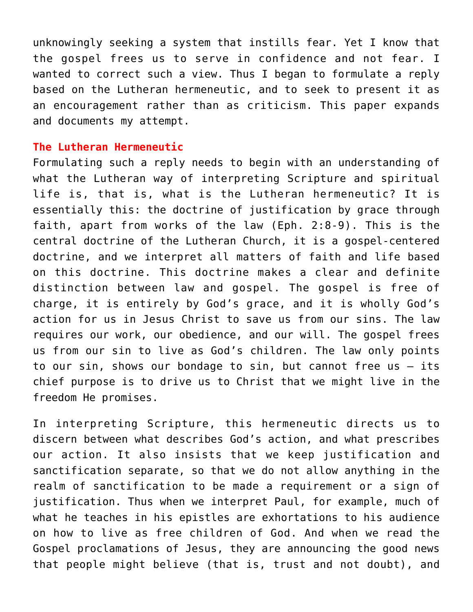unknowingly seeking a system that instills fear. Yet I know that the gospel frees us to serve in confidence and not fear. I wanted to correct such a view. Thus I began to formulate a reply based on the Lutheran hermeneutic, and to seek to present it as an encouragement rather than as criticism. This paper expands and documents my attempt.

#### **The Lutheran Hermeneutic**

Formulating such a reply needs to begin with an understanding of what the Lutheran way of interpreting Scripture and spiritual life is, that is, what is the Lutheran hermeneutic? It is essentially this: the doctrine of justification by grace through faith, apart from works of the law (Eph. 2:8-9). This is the central doctrine of the Lutheran Church, it is a gospel-centered doctrine, and we interpret all matters of faith and life based on this doctrine. This doctrine makes a clear and definite distinction between law and gospel. The gospel is free of charge, it is entirely by God's grace, and it is wholly God's action for us in Jesus Christ to save us from our sins. The law requires our work, our obedience, and our will. The gospel frees us from our sin to live as God's children. The law only points to our sin, shows our bondage to sin, but cannot free us – its chief purpose is to drive us to Christ that we might live in the freedom He promises.

In interpreting Scripture, this hermeneutic directs us to discern between what describes God's action, and what prescribes our action. It also insists that we keep justification and sanctification separate, so that we do not allow anything in the realm of sanctification to be made a requirement or a sign of justification. Thus when we interpret Paul, for example, much of what he teaches in his epistles are exhortations to his audience on how to live as free children of God. And when we read the Gospel proclamations of Jesus, they are announcing the good news that people might believe (that is, trust and not doubt), and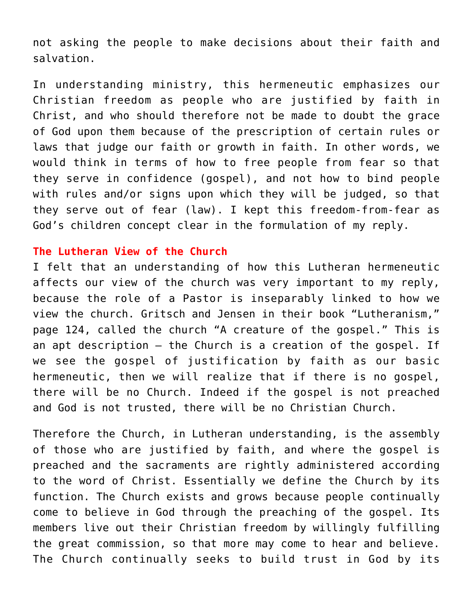not asking the people to make decisions about their faith and salvation.

In understanding ministry, this hermeneutic emphasizes our Christian freedom as people who are justified by faith in Christ, and who should therefore not be made to doubt the grace of God upon them because of the prescription of certain rules or laws that judge our faith or growth in faith. In other words, we would think in terms of how to free people from fear so that they serve in confidence (gospel), and not how to bind people with rules and/or signs upon which they will be judged, so that they serve out of fear (law). I kept this freedom-from-fear as God's children concept clear in the formulation of my reply.

### **The Lutheran View of the Church**

I felt that an understanding of how this Lutheran hermeneutic affects our view of the church was very important to my reply, because the role of a Pastor is inseparably linked to how we view the church. Gritsch and Jensen in their book "Lutheranism," page 124, called the church "A creature of the gospel." This is an apt description – the Church is a creation of the gospel. If we see the gospel of justification by faith as our basic hermeneutic, then we will realize that if there is no gospel, there will be no Church. Indeed if the gospel is not preached and God is not trusted, there will be no Christian Church.

Therefore the Church, in Lutheran understanding, is the assembly of those who are justified by faith, and where the gospel is preached and the sacraments are rightly administered according to the word of Christ. Essentially we define the Church by its function. The Church exists and grows because people continually come to believe in God through the preaching of the gospel. Its members live out their Christian freedom by willingly fulfilling the great commission, so that more may come to hear and believe. The Church continually seeks to build trust in God by its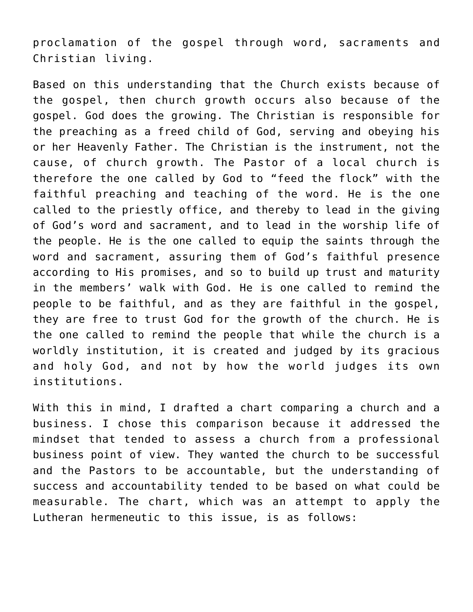proclamation of the gospel through word, sacraments and Christian living.

Based on this understanding that the Church exists because of the gospel, then church growth occurs also because of the gospel. God does the growing. The Christian is responsible for the preaching as a freed child of God, serving and obeying his or her Heavenly Father. The Christian is the instrument, not the cause, of church growth. The Pastor of a local church is therefore the one called by God to "feed the flock" with the faithful preaching and teaching of the word. He is the one called to the priestly office, and thereby to lead in the giving of God's word and sacrament, and to lead in the worship life of the people. He is the one called to equip the saints through the word and sacrament, assuring them of God's faithful presence according to His promises, and so to build up trust and maturity in the members' walk with God. He is one called to remind the people to be faithful, and as they are faithful in the gospel, they are free to trust God for the growth of the church. He is the one called to remind the people that while the church is a worldly institution, it is created and judged by its gracious and holy God, and not by how the world judges its own institutions.

With this in mind, I drafted a chart comparing a church and a business. I chose this comparison because it addressed the mindset that tended to assess a church from a professional business point of view. They wanted the church to be successful and the Pastors to be accountable, but the understanding of success and accountability tended to be based on what could be measurable. The chart, which was an attempt to apply the Lutheran hermeneutic to this issue, is as follows: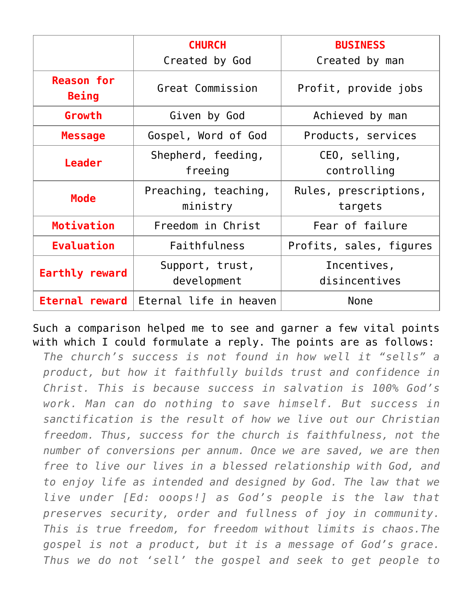|                                   | <b>CHURCH</b><br>Created by God | <b>BUSINESS</b>         |
|-----------------------------------|---------------------------------|-------------------------|
|                                   |                                 | Created by man          |
| <b>Reason for</b><br><b>Being</b> | Great Commission                | Profit, provide jobs    |
| Growth                            | Given by God                    | Achieved by man         |
| <b>Message</b>                    | Gospel, Word of God             | Products, services      |
| <b>Leader</b>                     | Shepherd, feeding,              | CEO, selling,           |
|                                   | freeing                         | controlling             |
| <b>Mode</b>                       | Preaching, teaching,            | Rules, prescriptions,   |
|                                   | ministry                        | targets                 |
| Motivation                        | Freedom in Christ               | Fear of failure         |
| <b>Evaluation</b>                 | Faithfulness                    | Profits, sales, figures |
| Earthly reward                    | Support, trust,                 | Incentives,             |
|                                   | development                     | disincentives           |
| Eternal reward                    | Eternal life in heaven          | <b>None</b>             |

Such a comparison helped me to see and garner a few vital points with which I could formulate a reply. The points are as follows:

*The church's success is not found in how well it "sells" a product, but how it faithfully builds trust and confidence in Christ. This is because success in salvation is 100% God's work. Man can do nothing to save himself. But success in sanctification is the result of how we live out our Christian freedom. Thus, success for the church is faithfulness, not the number of conversions per annum. Once we are saved, we are then free to live our lives in a blessed relationship with God, and to enjoy life as intended and designed by God. The law that we live under [Ed: ooops!] as God's people is the law that preserves security, order and fullness of joy in community. This is true freedom, for freedom without limits is chaos.The gospel is not a product, but it is a message of God's grace. Thus we do not 'sell' the gospel and seek to get people to*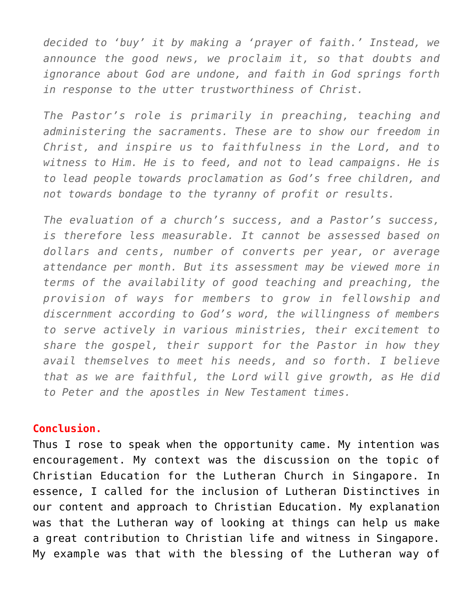*decided to 'buy' it by making a 'prayer of faith.' Instead, we announce the good news, we proclaim it, so that doubts and ignorance about God are undone, and faith in God springs forth in response to the utter trustworthiness of Christ.*

*The Pastor's role is primarily in preaching, teaching and administering the sacraments. These are to show our freedom in Christ, and inspire us to faithfulness in the Lord, and to witness to Him. He is to feed, and not to lead campaigns. He is to lead people towards proclamation as God's free children, and not towards bondage to the tyranny of profit or results.*

*The evaluation of a church's success, and a Pastor's success, is therefore less measurable. It cannot be assessed based on dollars and cents, number of converts per year, or average attendance per month. But its assessment may be viewed more in terms of the availability of good teaching and preaching, the provision of ways for members to grow in fellowship and discernment according to God's word, the willingness of members to serve actively in various ministries, their excitement to share the gospel, their support for the Pastor in how they avail themselves to meet his needs, and so forth. I believe that as we are faithful, the Lord will give growth, as He did to Peter and the apostles in New Testament times.*

#### **Conclusion.**

Thus I rose to speak when the opportunity came. My intention was encouragement. My context was the discussion on the topic of Christian Education for the Lutheran Church in Singapore. In essence, I called for the inclusion of Lutheran Distinctives in our content and approach to Christian Education. My explanation was that the Lutheran way of looking at things can help us make a great contribution to Christian life and witness in Singapore. My example was that with the blessing of the Lutheran way of